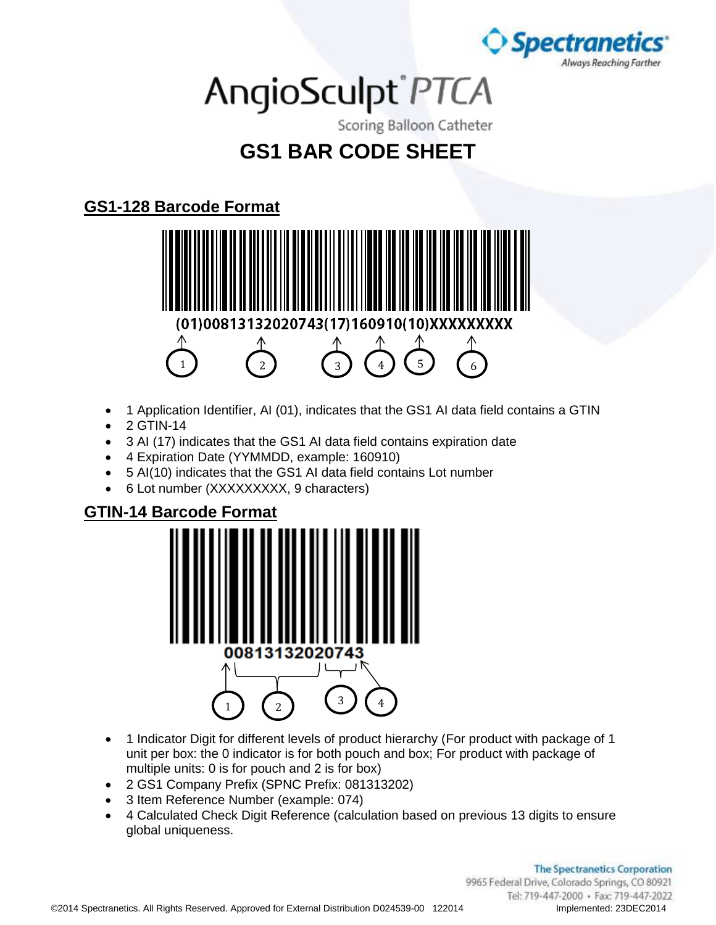

# AngioSculpt®PTCA

Scoring Balloon Catheter

### **GS1 BAR CODE SHEET**

#### **GS1-128 Barcode Format**



- 1 Application Identifier, AI (01), indicates that the GS1 AI data field contains a GTIN
- 2 GTIN-14
- 3 AI (17) indicates that the GS1 AI data field contains expiration date
- 4 Expiration Date (YYMMDD, example: 160910)
- 5 AI(10) indicates that the GS1 AI data field contains Lot number
- 6 Lot number (XXXXXXXXX, 9 characters)

#### **GTIN-14 Barcode Format**



- 1 Indicator Digit for different levels of product hierarchy (For product with package of 1 unit per box: the 0 indicator is for both pouch and box; For product with package of multiple units: 0 is for pouch and 2 is for box)
- 2 GS1 Company Prefix (SPNC Prefix: 081313202)
- 3 Item Reference Number (example: 074)
- 4 Calculated Check Digit Reference (calculation based on previous 13 digits to ensure global uniqueness.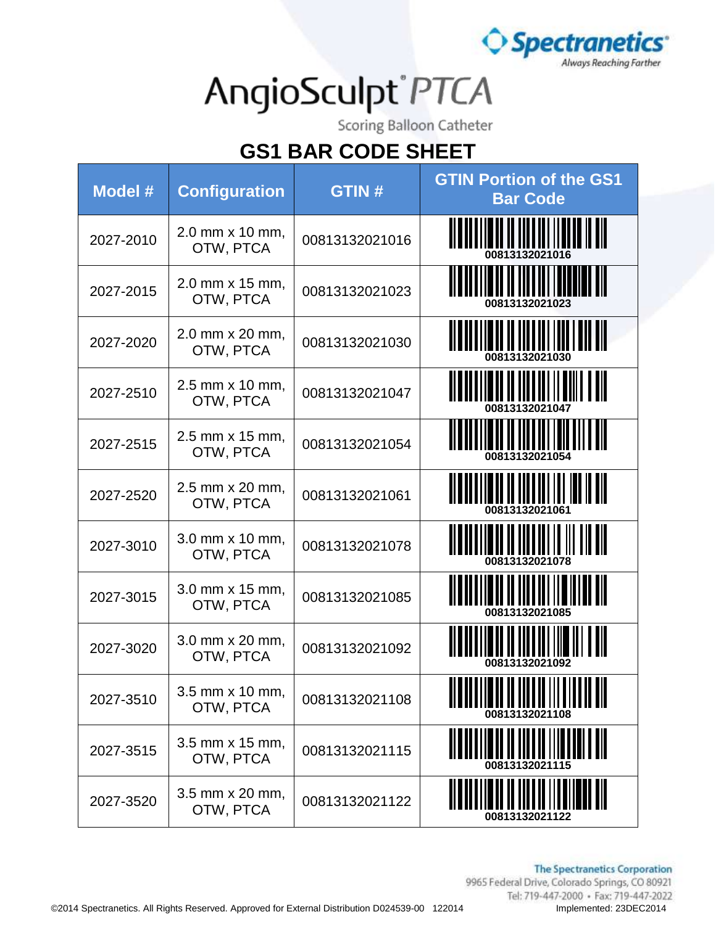

Scoring Balloon Catheter

| Model #   | <b>Configuration</b>         | <b>GTIN#</b>   | <b>GTIN Portion of the GS1</b><br><b>Bar Code</b>              |
|-----------|------------------------------|----------------|----------------------------------------------------------------|
| 2027-2010 | 2.0 mm x 10 mm,<br>OTW, PTCA | 00813132021016 | <u>TILININ ILININ ILININ ILI</u>                               |
| 2027-2015 | 2.0 mm x 15 mm,<br>OTW, PTCA | 00813132021023 | 00813132021023                                                 |
| 2027-2020 | 2.0 mm x 20 mm,<br>OTW, PTCA | 00813132021030 | <b>A II II III III</b> IIII I AN BII                           |
| 2027-2510 | 2.5 mm x 10 mm,<br>OTW, PTCA | 00813132021047 | II II III IIII II IIII I III                                   |
| 2027-2515 | 2.5 mm x 15 mm,<br>OTW, PTCA | 00813132021054 |                                                                |
| 2027-2520 | 2.5 mm x 20 mm,<br>OTW, PTCA | 00813132021061 | <u> II BULITEILII III III III III III III</u>                  |
| 2027-3010 | 3.0 mm x 10 mm,<br>OTW, PTCA | 00813132021078 |                                                                |
| 2027-3015 | 3.0 mm x 15 mm,<br>OTW, PTCA | 00813132021085 | \                                                              |
| 2027-3020 | 3.0 mm x 20 mm,<br>OTW, PTCA | 00813132021092 |                                                                |
| 2027-3510 | 3.5 mm x 10 mm,<br>OTW, PTCA | 00813132021108 | <u> II AN III AN II AN III     II AN III</u><br>00813132021108 |
| 2027-3515 | 3.5 mm x 15 mm,<br>OTW, PTCA | 00813132021115 |                                                                |
| 2027-3520 | 3.5 mm x 20 mm,<br>OTW, PTCA | 00813132021122 |                                                                |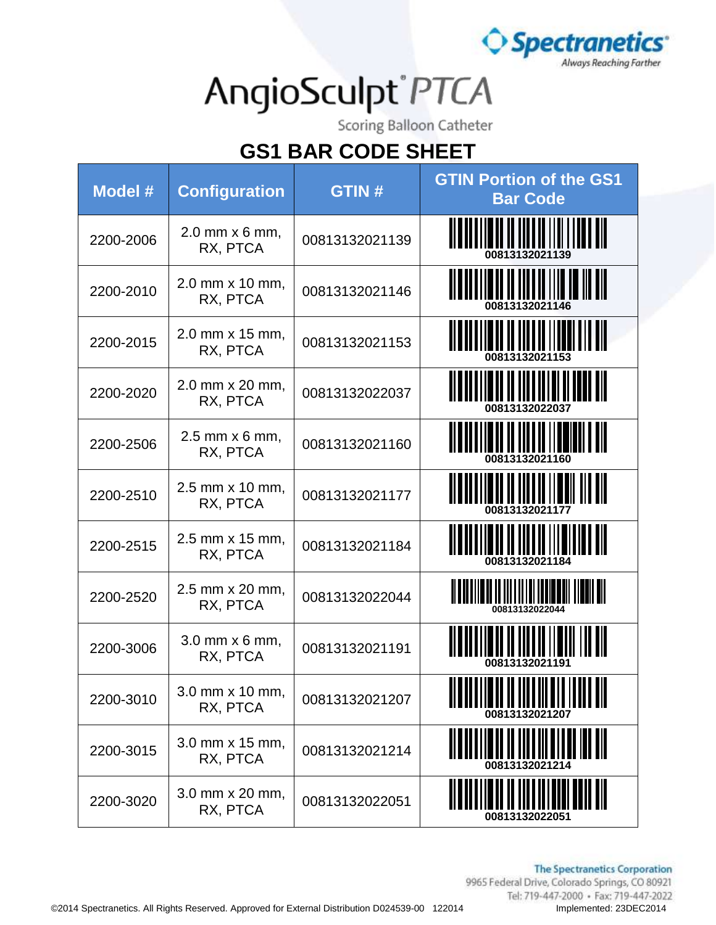

Scoring Balloon Catheter

| Model #   | <b>Configuration</b>                | <b>GTIN#</b>   | <b>GTIN Portion of the GS1</b><br><b>Bar Code</b>              |
|-----------|-------------------------------------|----------------|----------------------------------------------------------------|
| 2200-2006 | 2.0 mm x 6 mm,<br>RX, PTCA          | 00813132021139 | <u> III IIIIIIIIII II IIIIIII IIII III</u>                     |
| 2200-2010 | 2.0 mm x 10 mm,<br>RX, PTCA         | 00813132021146 | <u> A BOLIT II A BOLIT II A BOLIT II</u>                       |
| 2200-2015 | 2.0 mm x 15 mm,<br>RX, PTCA         | 00813132021153 | <u> II D'ALI II DI ALI II II II DI DI AIT</u>                  |
| 2200-2020 | 2.0 mm x 20 mm,<br>RX, PTCA         | 00813132022037 | 00813132022037                                                 |
| 2200-2506 | $2.5$ mm $\times$ 6 mm,<br>RX, PTCA | 00813132021160 |                                                                |
| 2200-2510 | 2.5 mm x 10 mm,<br>RX, PTCA         | 00813132021177 |                                                                |
| 2200-2515 | 2.5 mm x 15 mm,<br>RX, PTCA         | 00813132021184 | 00813132021184                                                 |
| 2200-2520 | 2.5 mm x 20 mm,<br>RX, PTCA         | 00813132022044 | <u> III BILI III BILI DI III III II BEREKI TIDAH BIL</u>       |
| 2200-3006 | $3.0$ mm $\times$ 6 mm,<br>RX, PTCA | 00813132021191 |                                                                |
| 2200-3010 | 3.0 mm x 10 mm,<br>RX, PTCA         | 00813132021207 | <u> II D'II II DI II III DII III III DII</u><br>00813132021207 |
| 2200-3015 | 3.0 mm x 15 mm,<br>RX, PTCA         | 00813132021214 | 00813132021214                                                 |
| 2200-3020 | 3.0 mm x 20 mm,<br>RX, PTCA         | 00813132022051 | 00813132022051                                                 |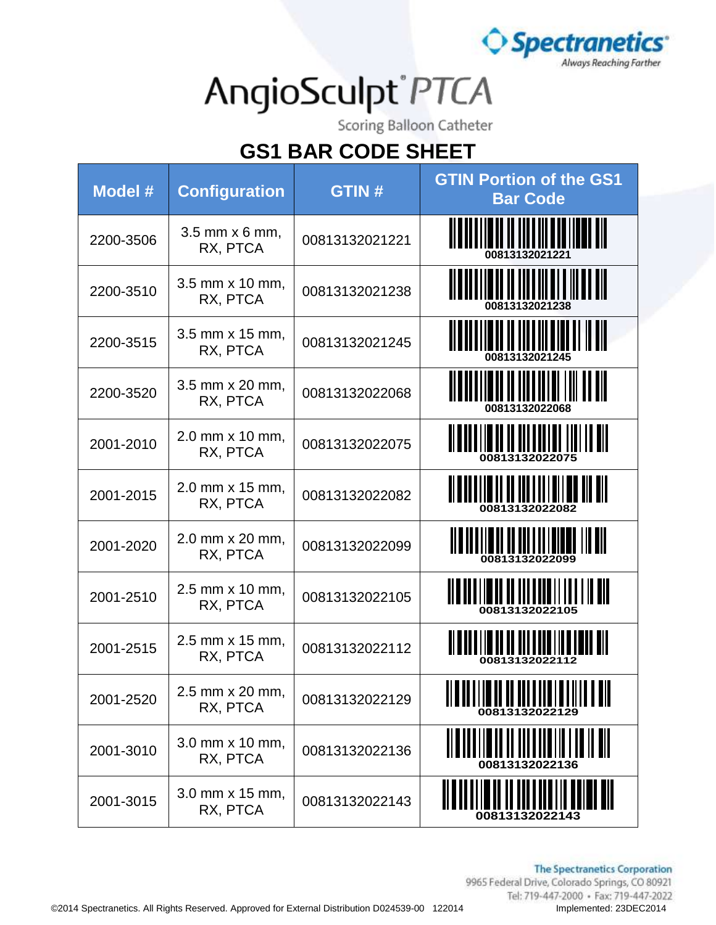

Scoring Balloon Catheter

| Model #   | <b>Configuration</b>        | <b>GTIN#</b>   | <b>GTIN Portion of the GS1</b><br><b>Bar Code</b>         |
|-----------|-----------------------------|----------------|-----------------------------------------------------------|
| 2200-3506 | 3.5 mm x 6 mm,<br>RX, PTCA  | 00813132021221 | <u> II B II B II B II B III B II I II B II B II </u>      |
| 2200-3510 | 3.5 mm x 10 mm,<br>RX, PTCA | 00813132021238 | <u> II BULITETI II TILLIILETTIILETTII</u>                 |
| 2200-3515 | 3.5 mm x 15 mm,<br>RX, PTCA | 00813132021245 | <u>io di di idi di sigli il di </u>                       |
| 2200-3520 | 3.5 mm x 20 mm,<br>RX, PTCA | 00813132022068 |                                                           |
| 2001-2010 | 2.0 mm x 10 mm,<br>RX, PTCA | 00813132022075 | <u> II BIBI II BI BIBI III BI III II BIB</u>              |
| 2001-2015 | 2.0 mm x 15 mm,<br>RX, PTCA | 00813132022082 | <u> Albarilio di Bordilio di Billon</u>                   |
| 2001-2020 | 2.0 mm x 20 mm,<br>RX, PTCA | 00813132022099 | <u> Ala ala ila al salvas la sulla all</u>                |
| 2001-2510 | 2.5 mm x 10 mm,<br>RX, PTCA | 00813132022105 | <u> Alaman al al antaritzat en all</u><br>00813132022105  |
| 2001-2515 | 2.5 mm x 15 mm,<br>RX, PTCA | 00813132022112 | <u> Albandina da anti-anti-ant</u><br>00813132022112      |
| 2001-2520 | 2.5 mm x 20 mm,<br>RX, PTCA | 00813132022129 | <u> II a li i i m il i i i i i i i a li i i i i i ali</u> |
| 2001-3010 | 3.0 mm x 10 mm,<br>RX, PTCA | 00813132022136 | 00813132022136                                            |
| 2001-3015 | 3.0 mm x 15 mm,<br>RX, PTCA | 00813132022143 | 00813132022143                                            |